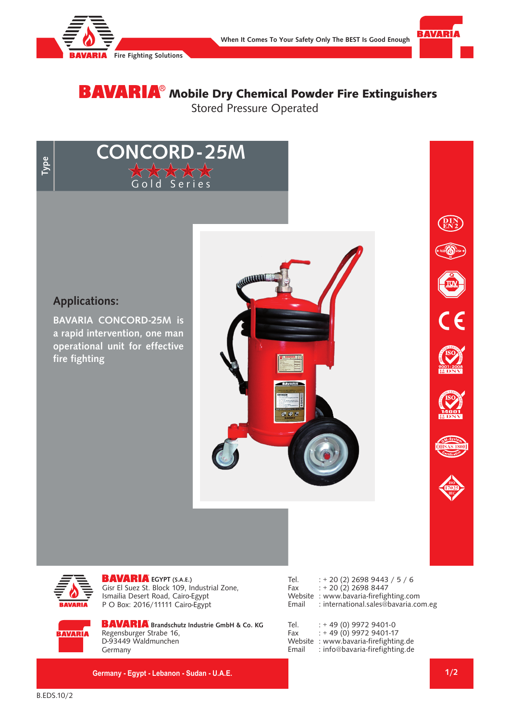

**CONCORD- 25M**

d Series



# **BAVARIA**® Mobile Dry Chemical Powder Fire Extinguishers Stored Pressure Operated

**Type**

### **Applications:**

**BAVARIA CONCORD-25M is a rapid intervention, one man operational unit for effective fire fighting** 







**EGYPT (S.A.E.)** Gisr El Suez St. Block 109, Industrial Zone, Ismailia Desert Road, Cairo-Egypt P O Box: 2016/11111 Cairo-Egypt

| Tel.  | $: +20(2)$ 2698 9443 / 5 / 6           |
|-------|----------------------------------------|
| Fax   | $: +20(2)$ 2698 8447                   |
|       | Website : www.bavaria-firefighting.com |
| Email | : international.sales@bavaria.com.eg   |

**BAVARIA** 

**BAVARIA** Brandschutz Industrie GmbH & Co. KG Regensburger Strabe 16, D-93449 Waldmunchen Germany

**Germany - Egypt - Lebanon - Sudan - U.A.E.**

| Tel.    | $: +49(0)99729401-0$           |
|---------|--------------------------------|
| Fax     | $: +49(0)$ 9972 9401-17        |
| Website | : www.bavaria-firefighting.de  |
| Email   | : info@bavaria-firefighting.de |